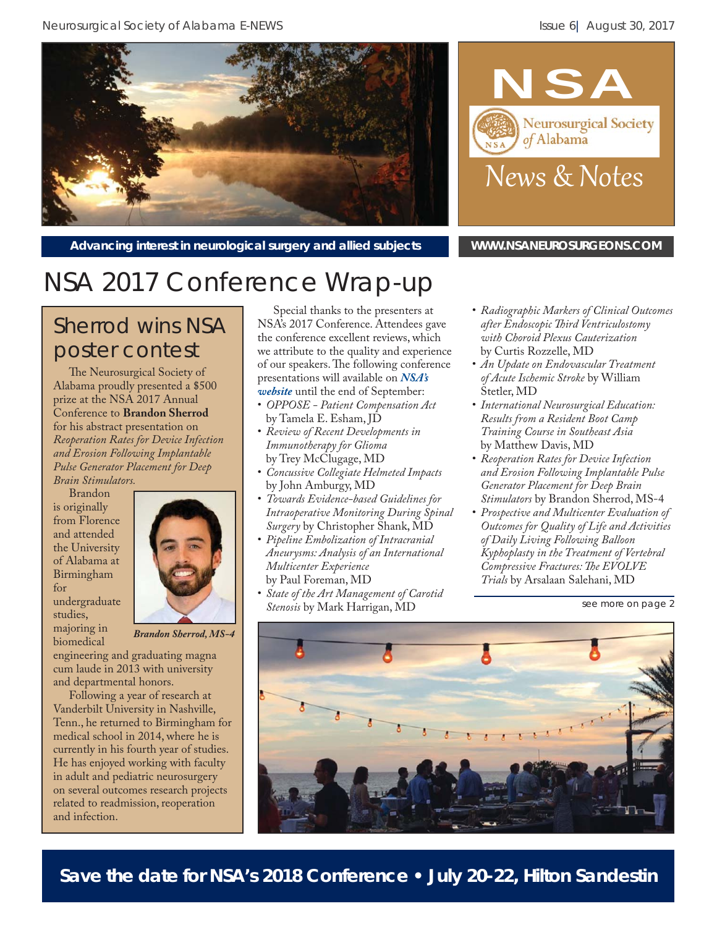Neurosurgical Society of Alabama E-NEWS **Issue 6** August 30, 2017





Advancing interest in neurological surgery and allied subjects **WWW.NSANEUROSURGEONS.COM** 

## NSA 2017 Conference Wrap-up

## Sherrod wins NSA poster contest

The Neurosurgical Society of Alabama proudly presented a \$500 prize at the NSA 2017 Annual Conference to **Brandon Sherrod**  for his abstract presentation on *Reoperation Rates for Device Infection and Erosion Following Implantable Pulse Generator Placement for Deep Brain Stimulators.*

Brandon is originally from Florence and attended the University of Alabama at Birmingham for undergraduate studies, majoring in biomedical



*Brandon Sherrod, MS-4*

engineering and graduating magna cum laude in 2013 with university and departmental honors.

Following a year of research at Vanderbilt University in Nashville, Tenn., he returned to Birmingham for medical school in 2014, where he is currently in his fourth year of studies. He has enjoyed working with faculty in adult and pediatric neurosurgery on several outcomes research projects related to readmission, reoperation and infection.

Special thanks to the presenters at NSA's 2017 Conference. Attendees gave the conference excellent reviews, which we attribute to the quality and experience of our speakers. The following conference [presentations will available on](http://www.nsaneurosurgeons.com/2017-conference-presentation-pdfs/) *NSA's website* until the end of September:

- *OPPOSE Patient Compensation Act*  by Tamela E. Esham, JD
- *Review of Recent Developments in Immunotherapy for Glioma* by Trey McClugage, MD
- *Concussive Collegiate Helmeted Impacts* by John Amburgy, MD
- *Towards Evidence-based Guidelines for Intraoperative Monitoring During Spinal Surgery* by Christopher Shank, MD
- *Pipeline Embolization of Intracranial Aneurysms: Analysis of an International Multicenter Experience* by Paul Foreman, MD
- *State of the Art Management of Carotid Stenosis* by Mark Harrigan, MD
- *Radiographic Markers of Clinical Outcomes after Endoscopic Th ird Ventriculostomy with Choroid Plexus Cauterization* by Curtis Rozzelle, MD
- *An Update on Endovascular Treatment of Acute Ischemic Stroke* by William Stetler, MD
- *International Neurosurgical Education: Results from a Resident Boot Camp Training Course in Southeast Asia* by Matthew Davis, MD
- *Reoperation Rates for Device Infection and Erosion Following Implantable Pulse Generator Placement for Deep Brain Stimulators* by Brandon Sherrod, MS-4
- *Prospective and Multicenter Evaluation of Outcomes for Quality of Life and Activities of Daily Living Following Balloon Kyphoplasty in the Treatment of Vertebral Compressive Fractures: The EVOLVE Trials* by Arsalaan Salehani, MD

*see more on page 2*



**Save the date for NSA's 2018 Conference • July 20-22, Hilton Sandestin**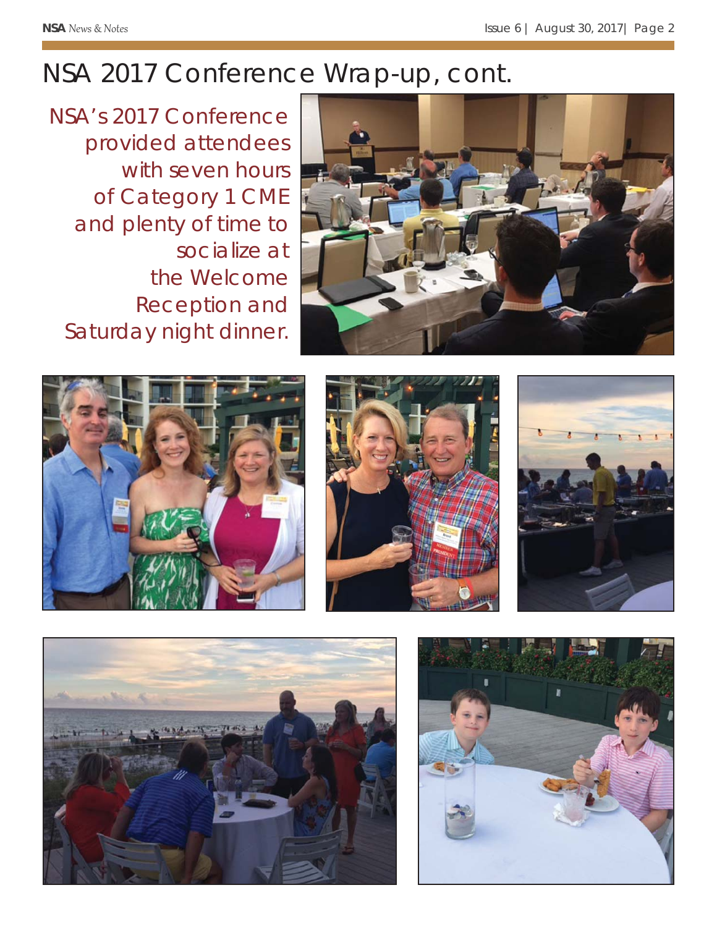## NSA 2017 Conference Wrap-up, cont.

NSA's 2017 Conference provided attendees with seven hours of Category 1 CME and plenty of time to socialize at the Welcome Reception and Saturday night dinner.











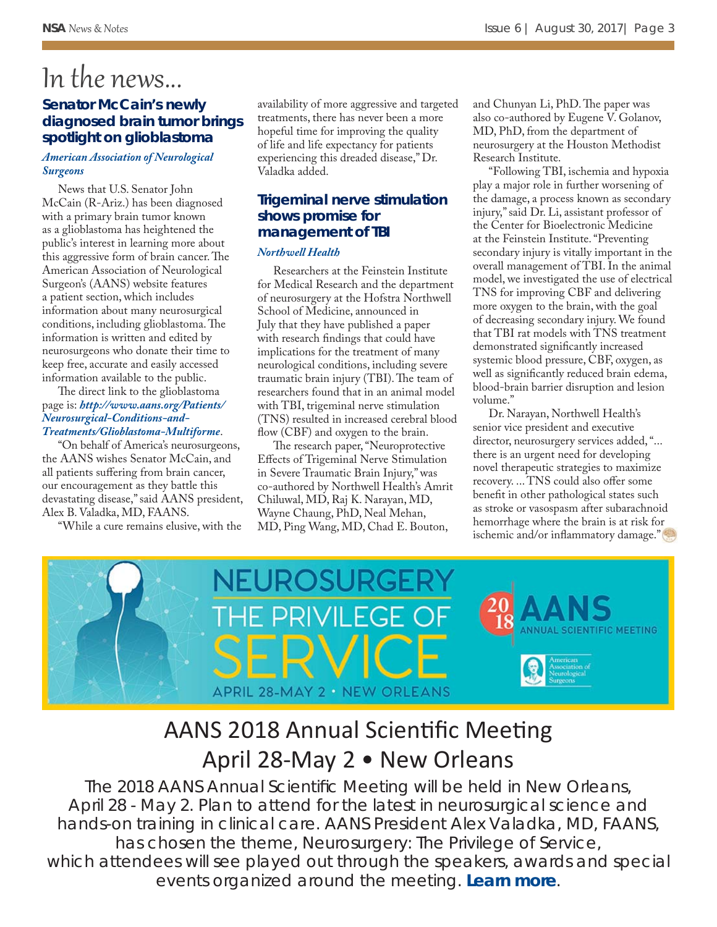# In the news...

#### **Senator McCain's newly diagnosed brain tumor brings spotlight on glioblastoma**

#### *[American Association of Neurological](http://www.newswise.com/articles/view/678187/?sc=rsin)  Surgeons*

News that U.S. Senator John McCain (R-Ariz.) has been diagnosed with a primary brain tumor known as a glioblastoma has heightened the public's interest in learning more about this aggressive form of brain cancer. The American Association of Neurological Surgeon's (AANS) website features a patient section, which includes information about many neurosurgical conditions, including glioblastoma. The information is written and edited by neurosurgeons who donate their time to keep free, accurate and easily accessed information available to the public.

The direct link to the glioblastoma page is: *http://www.aans.org/Patients/ Neurosurgical-Conditions-and-[Treatments/Glioblastoma-Multiforme](http://www.aans.org/Patients/Neurosurgical-Conditions-and-Treatments/Glioblastoma-Multiforme)*.

"On behalf of America's neurosurgeons, the AANS wishes Senator McCain, and all patients suffering from brain cancer, our encouragement as they battle this devastating disease," said AANS president, Alex B. Valadka, MD, FAANS.

"While a cure remains elusive, with the

availability of more aggressive and targeted treatments, there has never been a more hopeful time for improving the quality of life and life expectancy for patients experiencing this dreaded disease," Dr. Valadka added.

### **Trigeminal nerve stimulation shows promise for management of TBI**

#### *[Northwell Health](https://www.eurekalert.org/pub_releases/2017-07/nh-tns072717.php)*

Researchers at the Feinstein Institute for Medical Research and the department of neurosurgery at the Hofstra Northwell School of Medicine, announced in July that they have published a paper with research findings that could have implications for the treatment of many neurological conditions, including severe traumatic brain injury (TBI). The team of researchers found that in an animal model with TBI, trigeminal nerve stimulation (TNS) resulted in increased cerebral blood flow (CBF) and oxygen to the brain.

The research paper, "Neuroprotective Effects of Trigeminal Nerve Stimulation in Severe Traumatic Brain Injury," was co-authored by Northwell Health's Amrit Chiluwal, MD, Raj K. Narayan, MD, Wayne Chaung, PhD, Neal Mehan, MD, Ping Wang, MD, Chad E. Bouton,

and Chunyan Li, PhD. The paper was also co-authored by Eugene V. Golanov, MD, PhD, from the department of neurosurgery at the Houston Methodist Research Institute.

"Following TBI, ischemia and hypoxia play a major role in further worsening of the damage, a process known as secondary injury," said Dr. Li, assistant professor of the Center for Bioelectronic Medicine at the Feinstein Institute. "Preventing secondary injury is vitally important in the overall management of TBI. In the animal model, we investigated the use of electrical TNS for improving CBF and delivering more oxygen to the brain, with the goal of decreasing secondary injury. We found that TBI rat models with TNS treatment demonstrated significantly increased systemic blood pressure, CBF, oxygen, as well as significantly reduced brain edema, blood-brain barrier disruption and lesion volume."

Dr. Narayan, Northwell Health's senior vice president and executive director, neurosurgery services added, "... there is an urgent need for developing novel therapeutic strategies to maximize recovery. ... TNS could also offer some benefit in other pathological states such as stroke or vasospasm after subarachnoid hemorrhage where the brain is at risk for ischemic and/or inflammatory damage."



## AANS 2018 Annual Scientific Meeting April 28-May 2 • New Orleans

The 2018 AANS Annual Scientific Meeting will be held in New Orleans, April 28 - May 2. Plan to attend for the latest in neurosurgical science and hands-on training in clinical care. AANS President Alex Valadka, MD, FAANS, has chosen the theme, *Neurosurgery: The Privilege of Service*, which attendees will see played out through the speakers, awards and special events organized around the meeting. *[Learn more](http://www.aans.org/en/Annual-Scientific-Meeting/2018/)*.